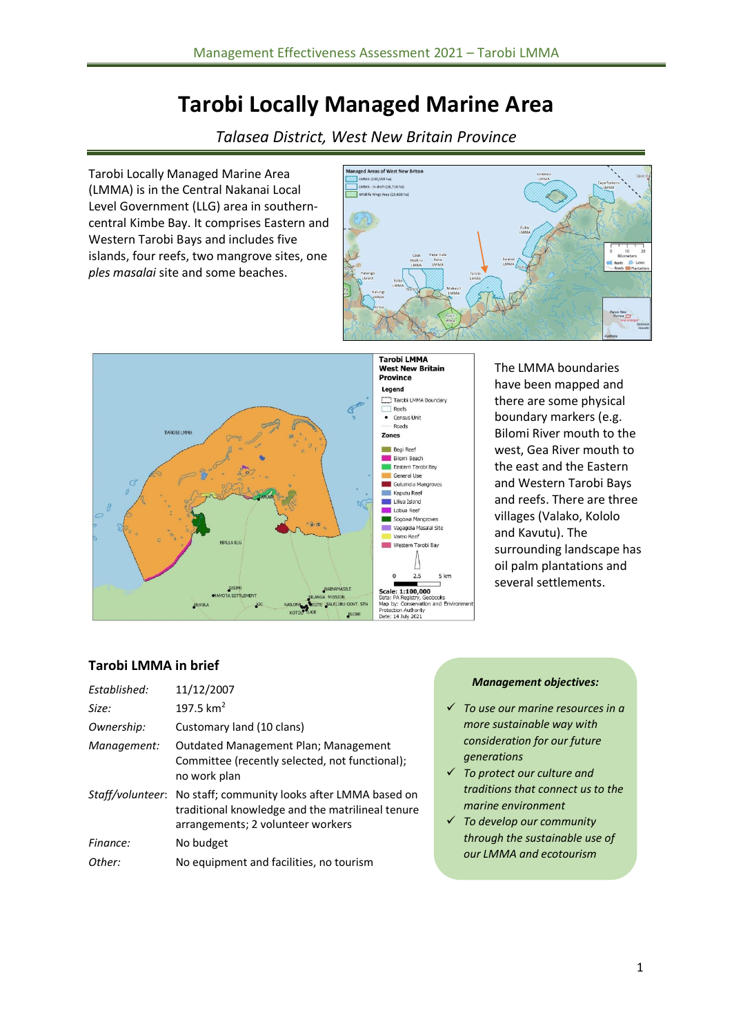# **Tarobi Locally Managed Marine Area**

*Talasea District, West New Britain Province*

Tarobi Locally Managed Marine Area (LMMA) is in the Central Nakanai Local Level Government (LLG) area in southerncentral Kimbe Bay. It comprises Eastern and Western Tarobi Bays and includes five islands, four reefs, two mangrove sites, one *ples masalai* site and some beaches.





The LMMA boundaries have been mapped and there are some physical boundary markers (e.g. Bilomi River mouth to the west, Gea River mouth to the east and the Eastern and Western Tarobi Bays and reefs. There are three villages (Valako, Kololo and Kavutu). The surrounding landscape has oil palm plantations and several settlements.

### **Tarobi LMMA in brief**

| Established: | 11/12/2007                                                                                                                                              |
|--------------|---------------------------------------------------------------------------------------------------------------------------------------------------------|
| Size:        | 197.5 $km^2$                                                                                                                                            |
| Ownership:   | Customary land (10 clans)                                                                                                                               |
| Management:  | Outdated Management Plan; Management<br>Committee (recently selected, not functional);<br>no work plan                                                  |
|              | Staff/volunteer: No staff; community looks after LMMA based on<br>traditional knowledge and the matrilineal tenure<br>arrangements; 2 volunteer workers |
| Finance:     | No budget                                                                                                                                               |
| Other:       | No equipment and facilities, no tourism                                                                                                                 |

### *Management objectives:*

- ✓ *To use our marine resources in a more sustainable way with consideration for our future generations*
- ✓ *To protect our culture and traditions that connect us to the marine environment*
- ✓ *To develop our community through the sustainable use of our LMMA and ecotourism*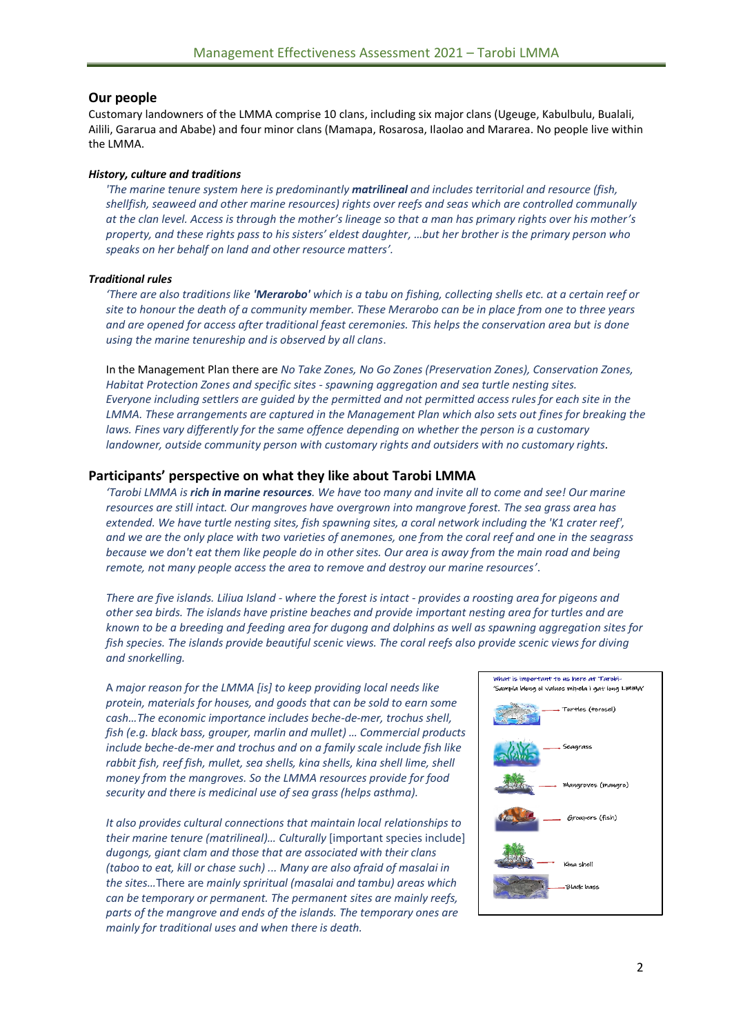### **Our people**

Customary landowners of the LMMA comprise 10 clans, including six major clans (Ugeuge, Kabulbulu, Bualali, Ailili, Gararua and Ababe) and four minor clans (Mamapa, Rosarosa, Ilaolao and Mararea. No people live within the LMMA.

#### *History, culture and traditions*

*'The marine tenure system here is predominantly matrilineal and includes territorial and resource (fish, shellfish, seaweed and other marine resources) rights over reefs and seas which are controlled communally at the clan level. Access is through the mother's lineage so that a man has primary rights over his mother's property, and these rights pass to his sisters' eldest daughter, …but her brother is the primary person who speaks on her behalf on land and other resource matters'.* 

#### *Traditional rules*

*'There are also traditions like 'Merarobo' which is a tabu on fishing, collecting shells etc. at a certain reef or site to honour the death of a community member. These Merarobo can be in place from one to three years and are opened for access after traditional feast ceremonies. This helps the conservation area but is done using the marine tenureship and is observed by all clans*.

In the Management Plan there are *No Take Zones, No Go Zones (Preservation Zones), Conservation Zones, Habitat Protection Zones and specific sites - spawning aggregation and sea turtle nesting sites. Everyone including settlers are guided by the permitted and not permitted access rules for each site in the LMMA. These arrangements are captured in the Management Plan which also sets out fines for breaking the laws. Fines vary differently for the same offence depending on whether the person is a customary landowner, outside community person with customary rights and outsiders with no customary rights.*

### **Participants' perspective on what they like about Tarobi LMMA**

*'Tarobi LMMA is rich in marine resources. We have too many and invite all to come and see! Our marine resources are still intact. Our mangroves have overgrown into mangrove forest. The sea grass area has extended. We have turtle nesting sites, fish spawning sites, a coral network including the 'K1 crater reef', and we are the only place with two varieties of anemones, one from the coral reef and one in the seagrass because we don't eat them like people do in other sites. Our area is away from the main road and being remote, not many people access the area to remove and destroy our marine resources'*.

*There are five islands. Liliua Island - where the forest is intact - provides a roosting area for pigeons and other sea birds. The islands have pristine beaches and provide important nesting area for turtles and are known to be a breeding and feeding area for dugong and dolphins as well as spawning aggregation sites for fish species. The islands provide beautiful scenic views. The coral reefs also provide scenic views for diving and snorkelling.*

A *major reason for the LMMA [is] to keep providing local needs like protein, materials for houses, and goods that can be sold to earn some cash…The economic importance includes beche-de-mer, trochus shell, fish (e.g. black bass, grouper, marlin and mullet) … Commercial products include beche-de-mer and trochus and on a family scale include fish like rabbit fish, reef fish, mullet, sea shells, kina shells, kina shell lime, shell money from the mangroves. So the LMMA resources provide for food security and there is medicinal use of sea grass (helps asthma).*

*It also provides cultural connections that maintain local relationships to their marine tenure (matrilineal)… Culturally* [important species include] *dugongs, giant clam and those that are associated with their clans (taboo to eat, kill or chase such) ... Many are also afraid of masalai in the sites…*There are *mainly spriritual (masalai and tambu) areas which can be temporary or permanent. The permanent sites are mainly reefs, parts of the mangrove and ends of the islands. The temporary ones are mainly for traditional uses and when there is death.*

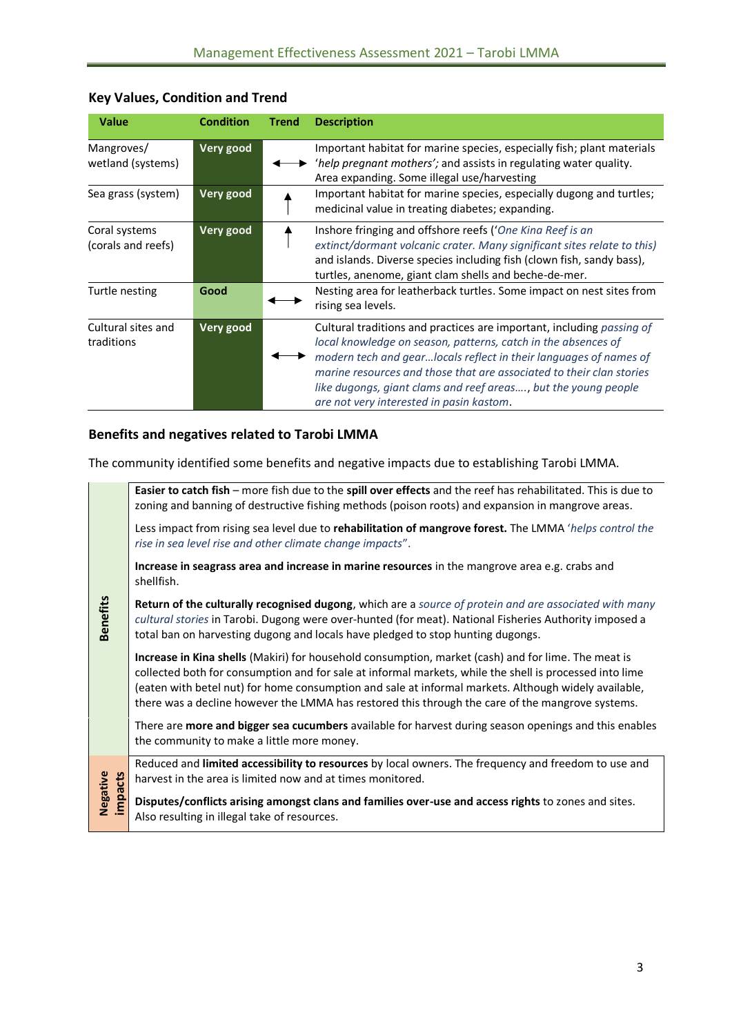| <b>Value</b>                        | <b>Condition</b> | <b>Trend</b> | <b>Description</b>                                                                                                                                                                                                                                                                                                                                                                                |
|-------------------------------------|------------------|--------------|---------------------------------------------------------------------------------------------------------------------------------------------------------------------------------------------------------------------------------------------------------------------------------------------------------------------------------------------------------------------------------------------------|
| Mangroves/<br>wetland (systems)     | Very good        |              | Important habitat for marine species, especially fish; plant materials<br>'help pregnant mothers'; and assists in regulating water quality.<br>Area expanding. Some illegal use/harvesting                                                                                                                                                                                                        |
| Sea grass (system)                  | Very good        |              | Important habitat for marine species, especially dugong and turtles;<br>medicinal value in treating diabetes; expanding.                                                                                                                                                                                                                                                                          |
| Coral systems<br>(corals and reefs) | Very good        |              | Inshore fringing and offshore reefs ('One Kina Reef is an<br>extinct/dormant volcanic crater. Many significant sites relate to this)<br>and islands. Diverse species including fish (clown fish, sandy bass),<br>turtles, anenome, giant clam shells and beche-de-mer.                                                                                                                            |
| Turtle nesting                      | Good             |              | Nesting area for leatherback turtles. Some impact on nest sites from<br>rising sea levels.                                                                                                                                                                                                                                                                                                        |
| Cultural sites and<br>traditions    | Very good        |              | Cultural traditions and practices are important, including passing of<br>local knowledge on season, patterns, catch in the absences of<br>modern tech and gearlocals reflect in their languages of names of<br>marine resources and those that are associated to their clan stories<br>like dugongs, giant clams and reef areas, but the young people<br>are not very interested in pasin kastom. |

# **Key Values, Condition and Trend**

## **Benefits and negatives related to Tarobi LMMA**

The community identified some benefits and negative impacts due to establishing Tarobi LMMA.

|                     | Easier to catch fish - more fish due to the spill over effects and the reef has rehabilitated. This is due to<br>zoning and banning of destructive fishing methods (poison roots) and expansion in mangrove areas.                                                                                                                                                                                                                |
|---------------------|-----------------------------------------------------------------------------------------------------------------------------------------------------------------------------------------------------------------------------------------------------------------------------------------------------------------------------------------------------------------------------------------------------------------------------------|
| <b>Benefits</b>     | Less impact from rising sea level due to <b>rehabilitation of mangrove forest.</b> The LMMA <i>'helps control the</i><br>rise in sea level rise and other climate change impacts".                                                                                                                                                                                                                                                |
|                     | Increase in seagrass area and increase in marine resources in the mangrove area e.g. crabs and<br>shellfish.                                                                                                                                                                                                                                                                                                                      |
|                     | Return of the culturally recognised dugong, which are a source of protein and are associated with many<br>cultural stories in Tarobi. Dugong were over-hunted (for meat). National Fisheries Authority imposed a<br>total ban on harvesting dugong and locals have pledged to stop hunting dugongs.                                                                                                                               |
|                     | <b>Increase in Kina shells</b> (Makiri) for household consumption, market (cash) and for lime. The meat is<br>collected both for consumption and for sale at informal markets, while the shell is processed into lime<br>(eaten with betel nut) for home consumption and sale at informal markets. Although widely available,<br>there was a decline however the LMMA has restored this through the care of the mangrove systems. |
|                     | There are <b>more and bigger sea cucumbers</b> available for harvest during season openings and this enables<br>the community to make a little more money.                                                                                                                                                                                                                                                                        |
|                     | Reduced and limited accessibility to resources by local owners. The frequency and freedom to use and<br>harvest in the area is limited now and at times monitored.                                                                                                                                                                                                                                                                |
| Negative<br>impacts | Disputes/conflicts arising amongst clans and families over-use and access rights to zones and sites.<br>Also resulting in illegal take of resources.                                                                                                                                                                                                                                                                              |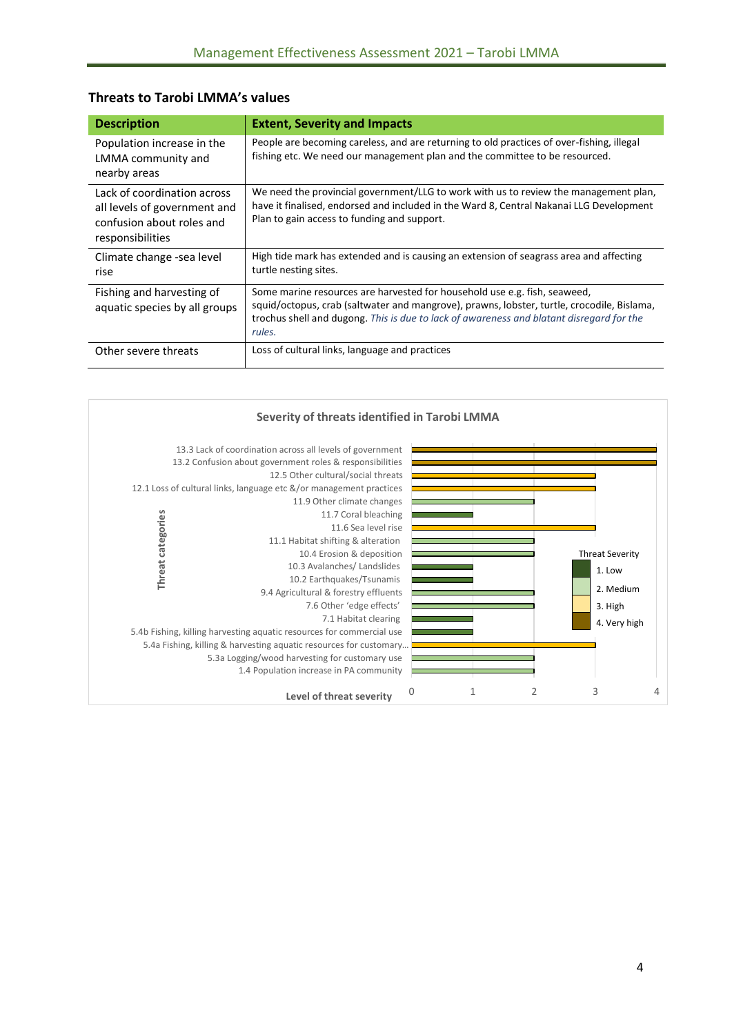| <b>Description</b>                                                                                           | <b>Extent, Severity and Impacts</b>                                                                                                                                                                                                                                           |
|--------------------------------------------------------------------------------------------------------------|-------------------------------------------------------------------------------------------------------------------------------------------------------------------------------------------------------------------------------------------------------------------------------|
| Population increase in the<br>LMMA community and<br>nearby areas                                             | People are becoming careless, and are returning to old practices of over-fishing, illegal<br>fishing etc. We need our management plan and the committee to be resourced.                                                                                                      |
| Lack of coordination across<br>all levels of government and<br>confusion about roles and<br>responsibilities | We need the provincial government/LLG to work with us to review the management plan,<br>have it finalised, endorsed and included in the Ward 8, Central Nakanai LLG Development<br>Plan to gain access to funding and support.                                                |
| Climate change -sea level<br>rise                                                                            | High tide mark has extended and is causing an extension of seagrass area and affecting<br>turtle nesting sites.                                                                                                                                                               |
| Fishing and harvesting of<br>aquatic species by all groups                                                   | Some marine resources are harvested for household use e.g. fish, seaweed,<br>squid/octopus, crab (saltwater and mangrove), prawns, lobster, turtle, crocodile, Bislama,<br>trochus shell and dugong. This is due to lack of awareness and blatant disregard for the<br>rules. |
| Other severe threats                                                                                         | Loss of cultural links, language and practices                                                                                                                                                                                                                                |

### **Threats to Tarobi LMMA's values**

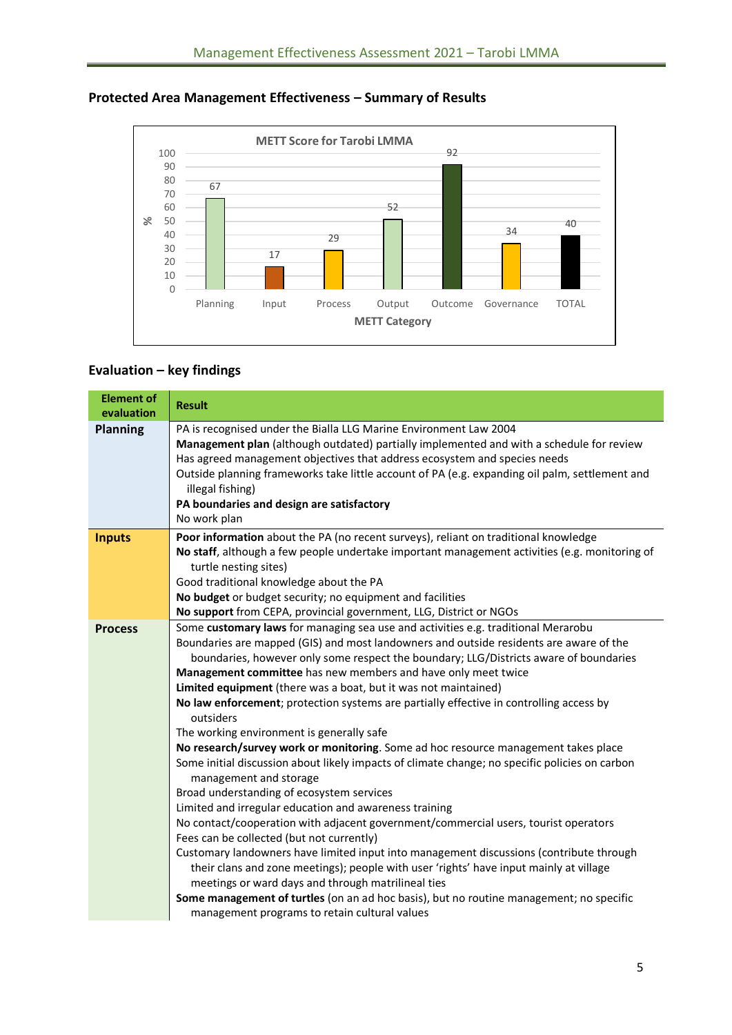

## **Protected Area Management Effectiveness – Summary of Results**

### **Evaluation – key findings**

| <b>Element of</b><br>evaluation | <b>Result</b>                                                                                                                                                                                                                                                                                                                                                                                                                                                                                                                                                                                                                                                                                                                                                                                                                                                                                                                                                                                                                                                                                                                                                                                                                                                                                                                                                                                                     |
|---------------------------------|-------------------------------------------------------------------------------------------------------------------------------------------------------------------------------------------------------------------------------------------------------------------------------------------------------------------------------------------------------------------------------------------------------------------------------------------------------------------------------------------------------------------------------------------------------------------------------------------------------------------------------------------------------------------------------------------------------------------------------------------------------------------------------------------------------------------------------------------------------------------------------------------------------------------------------------------------------------------------------------------------------------------------------------------------------------------------------------------------------------------------------------------------------------------------------------------------------------------------------------------------------------------------------------------------------------------------------------------------------------------------------------------------------------------|
| <b>Planning</b>                 | PA is recognised under the Bialla LLG Marine Environment Law 2004<br>Management plan (although outdated) partially implemented and with a schedule for review<br>Has agreed management objectives that address ecosystem and species needs<br>Outside planning frameworks take little account of PA (e.g. expanding oil palm, settlement and<br>illegal fishing)<br>PA boundaries and design are satisfactory<br>No work plan                                                                                                                                                                                                                                                                                                                                                                                                                                                                                                                                                                                                                                                                                                                                                                                                                                                                                                                                                                                     |
| <b>Inputs</b>                   | Poor information about the PA (no recent surveys), reliant on traditional knowledge<br>No staff, although a few people undertake important management activities (e.g. monitoring of<br>turtle nesting sites)<br>Good traditional knowledge about the PA<br>No budget or budget security; no equipment and facilities<br>No support from CEPA, provincial government, LLG, District or NGOs                                                                                                                                                                                                                                                                                                                                                                                                                                                                                                                                                                                                                                                                                                                                                                                                                                                                                                                                                                                                                       |
| <b>Process</b>                  | Some customary laws for managing sea use and activities e.g. traditional Merarobu<br>Boundaries are mapped (GIS) and most landowners and outside residents are aware of the<br>boundaries, however only some respect the boundary; LLG/Districts aware of boundaries<br>Management committee has new members and have only meet twice<br>Limited equipment (there was a boat, but it was not maintained)<br>No law enforcement; protection systems are partially effective in controlling access by<br>outsiders<br>The working environment is generally safe<br>No research/survey work or monitoring. Some ad hoc resource management takes place<br>Some initial discussion about likely impacts of climate change; no specific policies on carbon<br>management and storage<br>Broad understanding of ecosystem services<br>Limited and irregular education and awareness training<br>No contact/cooperation with adjacent government/commercial users, tourist operators<br>Fees can be collected (but not currently)<br>Customary landowners have limited input into management discussions (contribute through<br>their clans and zone meetings); people with user 'rights' have input mainly at village<br>meetings or ward days and through matrilineal ties<br>Some management of turtles (on an ad hoc basis), but no routine management; no specific<br>management programs to retain cultural values |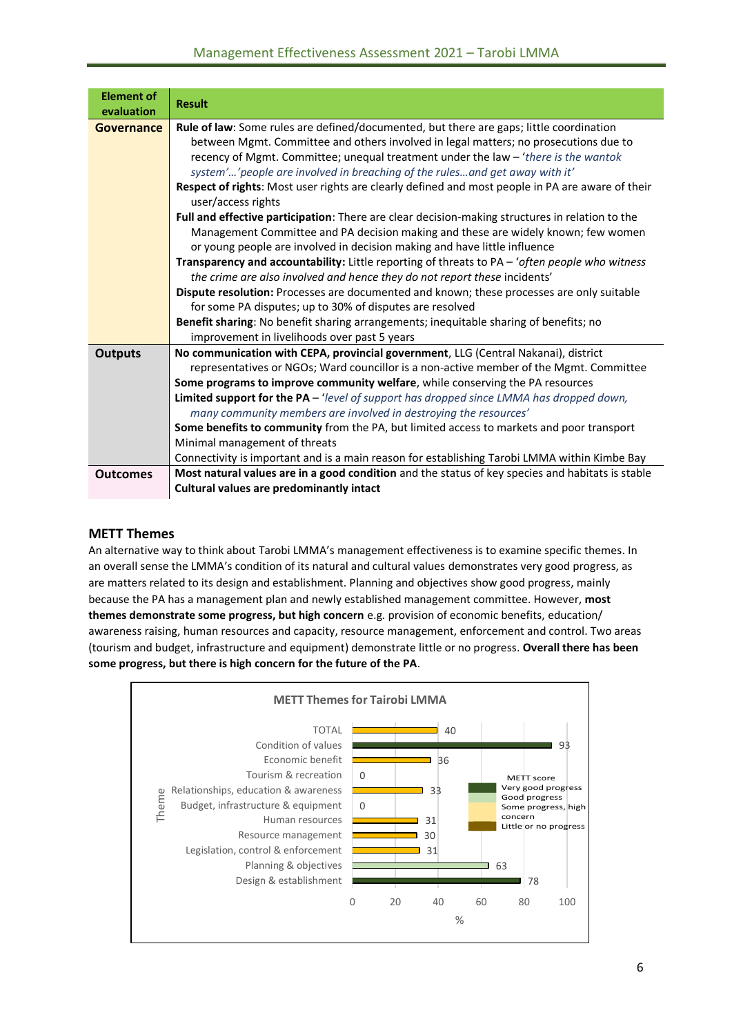| <b>Element of</b><br>evaluation | <b>Result</b>                                                                                                                                                                                                                                                                                                                                                                                                                                                                                                                                                                                                                                                                                                                                                                                                                                                                                                                                                                                                                                                                               |
|---------------------------------|---------------------------------------------------------------------------------------------------------------------------------------------------------------------------------------------------------------------------------------------------------------------------------------------------------------------------------------------------------------------------------------------------------------------------------------------------------------------------------------------------------------------------------------------------------------------------------------------------------------------------------------------------------------------------------------------------------------------------------------------------------------------------------------------------------------------------------------------------------------------------------------------------------------------------------------------------------------------------------------------------------------------------------------------------------------------------------------------|
| Governance                      | Rule of law: Some rules are defined/documented, but there are gaps; little coordination<br>between Mgmt. Committee and others involved in legal matters; no prosecutions due to<br>recency of Mgmt. Committee; unequal treatment under the law - 'there is the wantok<br>system'' people are involved in breaching of the rulesand get away with it'<br>Respect of rights: Most user rights are clearly defined and most people in PA are aware of their<br>user/access rights<br>Full and effective participation: There are clear decision-making structures in relation to the<br>Management Committee and PA decision making and these are widely known; few women<br>or young people are involved in decision making and have little influence<br>Transparency and accountability: Little reporting of threats to PA - 'often people who witness<br>the crime are also involved and hence they do not report these incidents'<br>Dispute resolution: Processes are documented and known; these processes are only suitable<br>for some PA disputes; up to 30% of disputes are resolved |
|                                 | Benefit sharing: No benefit sharing arrangements; inequitable sharing of benefits; no<br>improvement in livelihoods over past 5 years                                                                                                                                                                                                                                                                                                                                                                                                                                                                                                                                                                                                                                                                                                                                                                                                                                                                                                                                                       |
| <b>Outputs</b>                  | No communication with CEPA, provincial government, LLG (Central Nakanai), district<br>representatives or NGOs; Ward councillor is a non-active member of the Mgmt. Committee<br>Some programs to improve community welfare, while conserving the PA resources<br>Limited support for the PA - 'level of support has dropped since LMMA has dropped down,<br>many community members are involved in destroying the resources'<br>Some benefits to community from the PA, but limited access to markets and poor transport<br>Minimal management of threats<br>Connectivity is important and is a main reason for establishing Tarobi LMMA within Kimbe Bay                                                                                                                                                                                                                                                                                                                                                                                                                                   |
| <b>Outcomes</b>                 | Most natural values are in a good condition and the status of key species and habitats is stable<br><b>Cultural values are predominantly intact</b>                                                                                                                                                                                                                                                                                                                                                                                                                                                                                                                                                                                                                                                                                                                                                                                                                                                                                                                                         |

### **METT Themes**

An alternative way to think about Tarobi LMMA's management effectiveness is to examine specific themes. In an overall sense the LMMA's condition of its natural and cultural values demonstrates very good progress, as are matters related to its design and establishment. Planning and objectives show good progress, mainly because the PA has a management plan and newly established management committee. However, **most themes demonstrate some progress, but high concern** e.g. provision of economic benefits, education/ awareness raising, human resources and capacity, resource management, enforcement and control. Two areas (tourism and budget, infrastructure and equipment) demonstrate little or no progress. **Overall there has been some progress, but there is high concern for the future of the PA**.